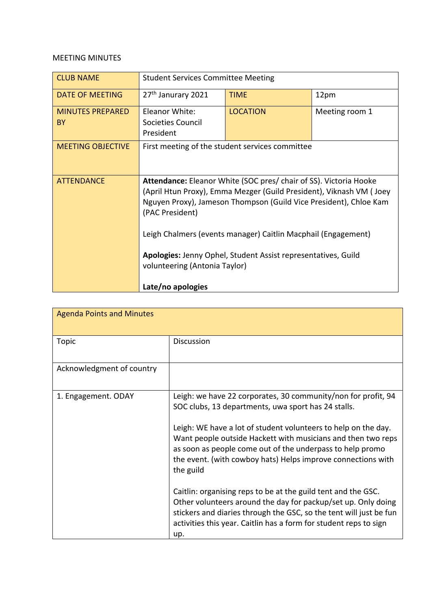## MEETING MINUTES

| <b>CLUB NAME</b>              | <b>Student Services Committee Meeting</b>                                                                                                                                                                                                                                                                |                                                               |                |
|-------------------------------|----------------------------------------------------------------------------------------------------------------------------------------------------------------------------------------------------------------------------------------------------------------------------------------------------------|---------------------------------------------------------------|----------------|
| DATE OF MEETING               | 27 <sup>th</sup> Janurary 2021                                                                                                                                                                                                                                                                           | <b>TIME</b>                                                   | 12pm           |
| <b>MINUTES PREPARED</b><br>BY | Eleanor White:<br>Societies Council<br>President                                                                                                                                                                                                                                                         | <b>LOCATION</b>                                               | Meeting room 1 |
| <b>MEETING OBJECTIVE</b>      | First meeting of the student services committee                                                                                                                                                                                                                                                          |                                                               |                |
| <b>ATTENDANCE</b>             | <b>Attendance:</b> Eleanor White (SOC pres/ chair of SS). Victoria Hooke<br>(April Htun Proxy), Emma Mezger (Guild President), Viknash VM (Joey<br>Nguyen Proxy), Jameson Thompson (Guild Vice President), Chloe Kam<br>(PAC President)<br>Leigh Chalmers (events manager) Caitlin Macphail (Engagement) |                                                               |                |
|                               | volunteering (Antonia Taylor)<br>Late/no apologies                                                                                                                                                                                                                                                       | Apologies: Jenny Ophel, Student Assist representatives, Guild |                |

| <b>Agenda Points and Minutes</b> |                                                                                                                                                                                                                                                                                                                                                                                                  |
|----------------------------------|--------------------------------------------------------------------------------------------------------------------------------------------------------------------------------------------------------------------------------------------------------------------------------------------------------------------------------------------------------------------------------------------------|
| Topic                            | <b>Discussion</b>                                                                                                                                                                                                                                                                                                                                                                                |
| Acknowledgment of country        |                                                                                                                                                                                                                                                                                                                                                                                                  |
| 1. Engagement. ODAY              | Leigh: we have 22 corporates, 30 community/non for profit, 94<br>SOC clubs, 13 departments, uwa sport has 24 stalls.<br>Leigh: WE have a lot of student volunteers to help on the day.<br>Want people outside Hackett with musicians and then two reps<br>as soon as people come out of the underpass to help promo<br>the event. (with cowboy hats) Helps improve connections with<br>the guild |
|                                  | Caitlin: organising reps to be at the guild tent and the GSC.<br>Other volunteers around the day for packup/set up. Only doing<br>stickers and diaries through the GSC, so the tent will just be fun<br>activities this year. Caitlin has a form for student reps to sign<br>up.                                                                                                                 |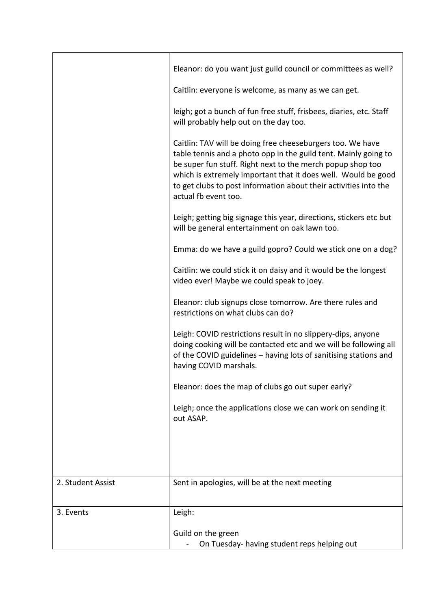|                   | Eleanor: do you want just guild council or committees as well?                                                                                                                                                                                                                                                                                           |
|-------------------|----------------------------------------------------------------------------------------------------------------------------------------------------------------------------------------------------------------------------------------------------------------------------------------------------------------------------------------------------------|
|                   | Caitlin: everyone is welcome, as many as we can get.                                                                                                                                                                                                                                                                                                     |
|                   | leigh; got a bunch of fun free stuff, frisbees, diaries, etc. Staff<br>will probably help out on the day too.                                                                                                                                                                                                                                            |
|                   | Caitlin: TAV will be doing free cheeseburgers too. We have<br>table tennis and a photo opp in the guild tent. Mainly going to<br>be super fun stuff. Right next to the merch popup shop too<br>which is extremely important that it does well. Would be good<br>to get clubs to post information about their activities into the<br>actual fb event too. |
|                   | Leigh; getting big signage this year, directions, stickers etc but<br>will be general entertainment on oak lawn too.                                                                                                                                                                                                                                     |
|                   | Emma: do we have a guild gopro? Could we stick one on a dog?                                                                                                                                                                                                                                                                                             |
|                   | Caitlin: we could stick it on daisy and it would be the longest<br>video ever! Maybe we could speak to joey.                                                                                                                                                                                                                                             |
|                   | Eleanor: club signups close tomorrow. Are there rules and<br>restrictions on what clubs can do?                                                                                                                                                                                                                                                          |
|                   | Leigh: COVID restrictions result in no slippery-dips, anyone<br>doing cooking will be contacted etc and we will be following all<br>of the COVID guidelines - having lots of sanitising stations and<br>having COVID marshals.                                                                                                                           |
|                   | Eleanor: does the map of clubs go out super early?                                                                                                                                                                                                                                                                                                       |
|                   | Leigh; once the applications close we can work on sending it<br>out ASAP.                                                                                                                                                                                                                                                                                |
|                   |                                                                                                                                                                                                                                                                                                                                                          |
|                   |                                                                                                                                                                                                                                                                                                                                                          |
| 2. Student Assist | Sent in apologies, will be at the next meeting                                                                                                                                                                                                                                                                                                           |
| 3. Events         | Leigh:                                                                                                                                                                                                                                                                                                                                                   |
|                   | Guild on the green<br>On Tuesday- having student reps helping out                                                                                                                                                                                                                                                                                        |
|                   |                                                                                                                                                                                                                                                                                                                                                          |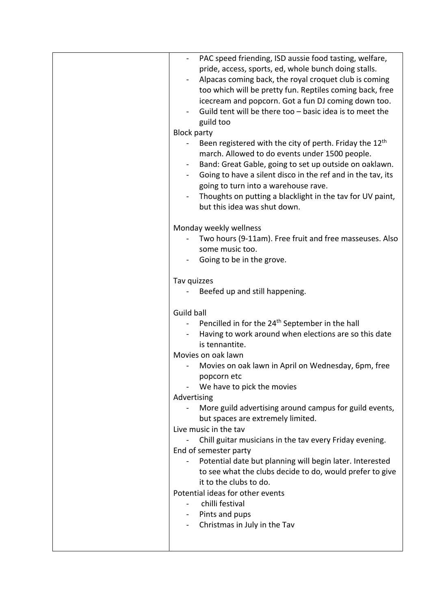| PAC speed friending, ISD aussie food tasting, welfare,<br>pride, access, sports, ed, whole bunch doing stalls.<br>Alpacas coming back, the royal croquet club is coming<br>$\blacksquare$<br>too which will be pretty fun. Reptiles coming back, free<br>icecream and popcorn. Got a fun DJ coming down too.<br>Guild tent will be there too - basic idea is to meet the<br>guild too<br><b>Block party</b><br>Been registered with the city of perth. Friday the 12 <sup>th</sup><br>march. Allowed to do events under 1500 people.<br>Band: Great Gable, going to set up outside on oaklawn.<br>Going to have a silent disco in the ref and in the tav, its<br>going to turn into a warehouse rave.<br>Thoughts on putting a blacklight in the tav for UV paint,<br>but this idea was shut down.<br>Monday weekly wellness<br>Two hours (9-11am). Free fruit and free masseuses. Also<br>some music too. |
|------------------------------------------------------------------------------------------------------------------------------------------------------------------------------------------------------------------------------------------------------------------------------------------------------------------------------------------------------------------------------------------------------------------------------------------------------------------------------------------------------------------------------------------------------------------------------------------------------------------------------------------------------------------------------------------------------------------------------------------------------------------------------------------------------------------------------------------------------------------------------------------------------------|
| Going to be in the grove.                                                                                                                                                                                                                                                                                                                                                                                                                                                                                                                                                                                                                                                                                                                                                                                                                                                                                  |
| Tav quizzes<br>Beefed up and still happening.                                                                                                                                                                                                                                                                                                                                                                                                                                                                                                                                                                                                                                                                                                                                                                                                                                                              |
| Guild ball<br>Pencilled in for the 24 <sup>th</sup> September in the hall<br>Having to work around when elections are so this date<br>is tennantite.<br>Movies on oak lawn<br>Movies on oak lawn in April on Wednesday, 6pm, free<br>popcorn etc<br>We have to pick the movies<br>Advertising<br>More guild advertising around campus for guild events,<br>but spaces are extremely limited.<br>Live music in the tay<br>Chill guitar musicians in the tav every Friday evening.<br>End of semester party<br>Potential date but planning will begin later. Interested<br>to see what the clubs decide to do, would prefer to give<br>it to the clubs to do.<br>Potential ideas for other events<br>chilli festival                                                                                                                                                                                         |
| Pints and pups<br>Christmas in July in the Tav                                                                                                                                                                                                                                                                                                                                                                                                                                                                                                                                                                                                                                                                                                                                                                                                                                                             |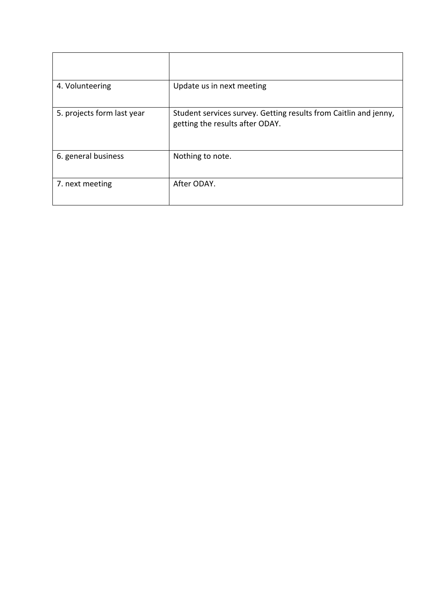| 4. Volunteering            | Update us in next meeting                                                                           |
|----------------------------|-----------------------------------------------------------------------------------------------------|
| 5. projects form last year | Student services survey. Getting results from Caitlin and jenny,<br>getting the results after ODAY. |
| 6. general business        | Nothing to note.                                                                                    |
| 7. next meeting            | After ODAY.                                                                                         |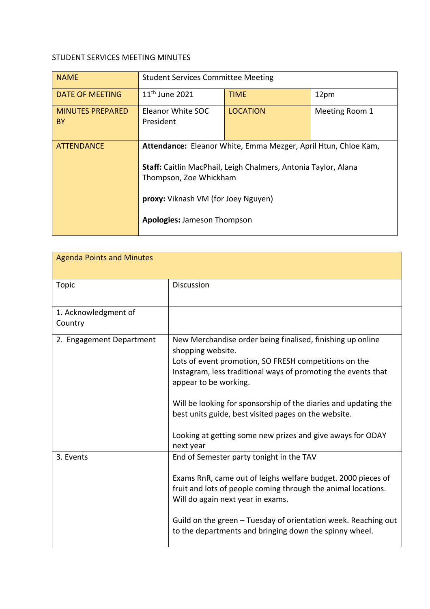## STUDENT SERVICES MEETING MINUTES

| <b>NAME</b>                   | <b>Student Services Committee Meeting</b>                                                    |                                                                                                                                  |                |
|-------------------------------|----------------------------------------------------------------------------------------------|----------------------------------------------------------------------------------------------------------------------------------|----------------|
| DATE OF MEETING               | $11th$ June 2021                                                                             | <b>TIME</b>                                                                                                                      | 12pm           |
| <b>MINUTES PREPARED</b><br>BY | Eleanor White SOC<br>President                                                               | <b>LOCATION</b>                                                                                                                  | Meeting Room 1 |
| <b>ATTENDANCE</b>             | Thompson, Zoe Whickham<br>proxy: Viknash VM (for Joey Nguyen)<br>Apologies: Jameson Thompson | Attendance: Eleanor White, Emma Mezger, April Htun, Chloe Kam,<br>Staff: Caitlin MacPhail, Leigh Chalmers, Antonia Taylor, Alana |                |

| <b>Agenda Points and Minutes</b> |                                                                                                                                                                                                                                                                                                                                                                                                                                          |
|----------------------------------|------------------------------------------------------------------------------------------------------------------------------------------------------------------------------------------------------------------------------------------------------------------------------------------------------------------------------------------------------------------------------------------------------------------------------------------|
| Topic                            | Discussion                                                                                                                                                                                                                                                                                                                                                                                                                               |
| 1. Acknowledgment of<br>Country  |                                                                                                                                                                                                                                                                                                                                                                                                                                          |
| 2. Engagement Department         | New Merchandise order being finalised, finishing up online<br>shopping website.<br>Lots of event promotion, SO FRESH competitions on the<br>Instagram, less traditional ways of promoting the events that<br>appear to be working.<br>Will be looking for sponsorship of the diaries and updating the<br>best units guide, best visited pages on the website.<br>Looking at getting some new prizes and give aways for ODAY<br>next year |
| 3. Events                        | End of Semester party tonight in the TAV<br>Exams RnR, came out of leighs welfare budget. 2000 pieces of<br>fruit and lots of people coming through the animal locations.<br>Will do again next year in exams.<br>Guild on the green – Tuesday of orientation week. Reaching out<br>to the departments and bringing down the spinny wheel.                                                                                               |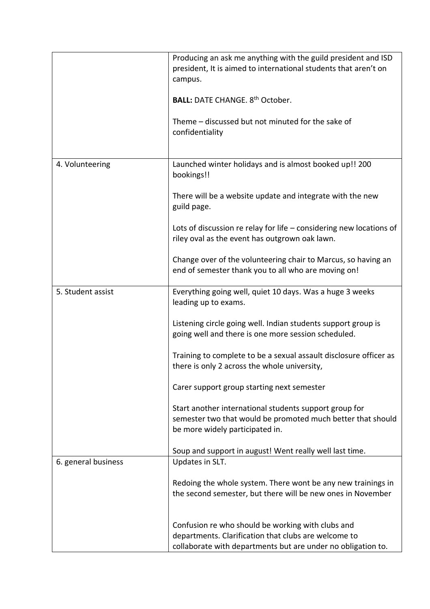|                     | Producing an ask me anything with the guild president and ISD<br>president, It is aimed to international students that aren't on                         |
|---------------------|----------------------------------------------------------------------------------------------------------------------------------------------------------|
|                     | campus.                                                                                                                                                  |
|                     | <b>BALL: DATE CHANGE. 8th October.</b>                                                                                                                   |
|                     | Theme – discussed but not minuted for the sake of<br>confidentiality                                                                                     |
| 4. Volunteering     | Launched winter holidays and is almost booked up!! 200<br>bookings!!                                                                                     |
|                     | There will be a website update and integrate with the new<br>guild page.                                                                                 |
|                     | Lots of discussion re relay for life $-$ considering new locations of<br>riley oval as the event has outgrown oak lawn.                                  |
|                     | Change over of the volunteering chair to Marcus, so having an<br>end of semester thank you to all who are moving on!                                     |
| 5. Student assist   | Everything going well, quiet 10 days. Was a huge 3 weeks<br>leading up to exams.                                                                         |
|                     | Listening circle going well. Indian students support group is<br>going well and there is one more session scheduled.                                     |
|                     | Training to complete to be a sexual assault disclosure officer as<br>there is only 2 across the whole university,                                        |
|                     | Carer support group starting next semester                                                                                                               |
|                     | Start another international students support group for<br>semester two that would be promoted much better that should<br>be more widely participated in. |
|                     | Soup and support in august! Went really well last time.                                                                                                  |
| 6. general business | Updates in SLT.                                                                                                                                          |
|                     | Redoing the whole system. There wont be any new trainings in<br>the second semester, but there will be new ones in November                              |
|                     | Confusion re who should be working with clubs and<br>departments. Clarification that clubs are welcome to                                                |
|                     | collaborate with departments but are under no obligation to.                                                                                             |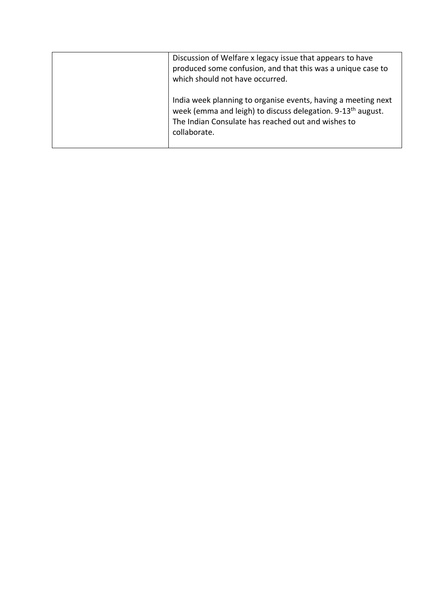| Discussion of Welfare x legacy issue that appears to have<br>produced some confusion, and that this was a unique case to<br>which should not have occurred.                                                    |
|----------------------------------------------------------------------------------------------------------------------------------------------------------------------------------------------------------------|
| India week planning to organise events, having a meeting next<br>week (emma and leigh) to discuss delegation. 9-13 <sup>th</sup> august.<br>The Indian Consulate has reached out and wishes to<br>collaborate. |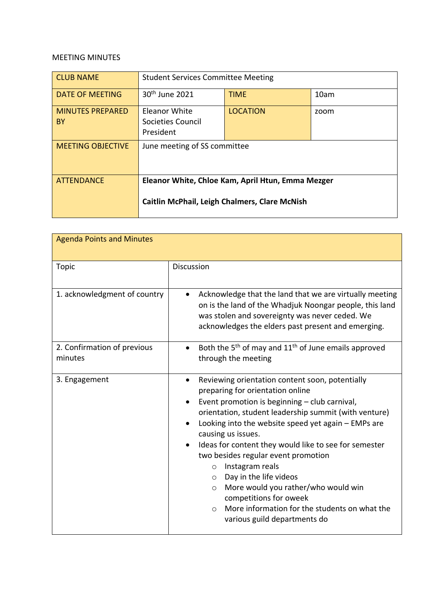## MEETING MINUTES

| <b>CLUB NAME</b>              | <b>Student Services Committee Meeting</b>                                                                 |                 |      |
|-------------------------------|-----------------------------------------------------------------------------------------------------------|-----------------|------|
| <b>DATE OF MEETING</b>        | 30 <sup>th</sup> June 2021                                                                                | <b>TIME</b>     | 10am |
| <b>MINUTES PREPARED</b><br>BY | <b>Eleanor White</b><br>Societies Council<br>President                                                    | <b>LOCATION</b> | zoom |
| <b>MEETING OBJECTIVE</b>      | June meeting of SS committee                                                                              |                 |      |
| <b>ATTENDANCE</b>             | Eleanor White, Chloe Kam, April Htun, Emma Mezger<br><b>Caitlin McPhail, Leigh Chalmers, Clare McNish</b> |                 |      |

| <b>Agenda Points and Minutes</b>       |                                                                                                                                                                                                                                                                                                                                                                                                                                                                                                                                                                                                                                       |
|----------------------------------------|---------------------------------------------------------------------------------------------------------------------------------------------------------------------------------------------------------------------------------------------------------------------------------------------------------------------------------------------------------------------------------------------------------------------------------------------------------------------------------------------------------------------------------------------------------------------------------------------------------------------------------------|
| <b>Topic</b>                           | <b>Discussion</b>                                                                                                                                                                                                                                                                                                                                                                                                                                                                                                                                                                                                                     |
| 1. acknowledgment of country           | Acknowledge that the land that we are virtually meeting<br>on is the land of the Whadjuk Noongar people, this land<br>was stolen and sovereignty was never ceded. We<br>acknowledges the elders past present and emerging.                                                                                                                                                                                                                                                                                                                                                                                                            |
| 2. Confirmation of previous<br>minutes | Both the 5 <sup>th</sup> of may and 11 <sup>th</sup> of June emails approved<br>$\bullet$<br>through the meeting                                                                                                                                                                                                                                                                                                                                                                                                                                                                                                                      |
| 3. Engagement                          | Reviewing orientation content soon, potentially<br>$\bullet$<br>preparing for orientation online<br>Event promotion is beginning - club carnival,<br>orientation, student leadership summit (with venture)<br>Looking into the website speed yet again - EMPs are<br>causing us issues.<br>Ideas for content they would like to see for semester<br>two besides regular event promotion<br>Instagram reals<br>$\circ$<br>Day in the life videos<br>$\circ$<br>More would you rather/who would win<br>$\circ$<br>competitions for oweek<br>More information for the students on what the<br>$\bigcirc$<br>various guild departments do |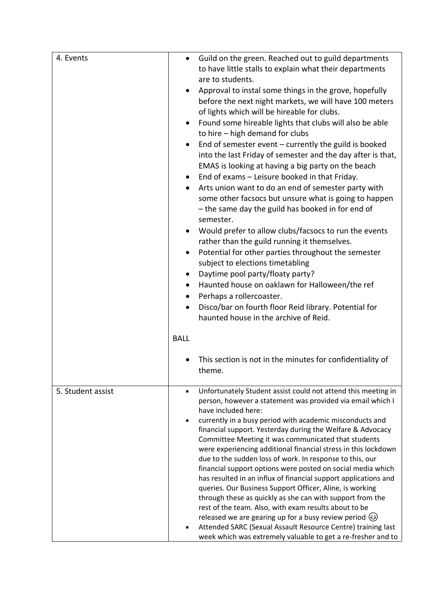| 4. Events         | Guild on the green. Reached out to guild departments<br>$\bullet$<br>to have little stalls to explain what their departments<br>are to students.<br>Approval to instal some things in the grove, hopefully<br>before the next night markets, we will have 100 meters<br>of lights which will be hireable for clubs.<br>Found some hireable lights that clubs will also be able<br>$\bullet$<br>to hire - high demand for clubs<br>End of semester event $-$ currently the guild is booked<br>into the last Friday of semester and the day after is that,<br>EMAS is looking at having a big party on the beach<br>End of exams - Leisure booked in that Friday.<br>Arts union want to do an end of semester party with<br>some other facsocs but unsure what is going to happen<br>- the same day the guild has booked in for end of<br>semester.<br>Would prefer to allow clubs/facsocs to run the events<br>rather than the guild running it themselves.<br>Potential for other parties throughout the semester<br>subject to elections timetabling<br>Daytime pool party/floaty party?<br>Haunted house on oaklawn for Halloween/the ref<br>$\bullet$<br>Perhaps a rollercoaster.<br>$\bullet$<br>Disco/bar on fourth floor Reid library. Potential for |  |
|-------------------|------------------------------------------------------------------------------------------------------------------------------------------------------------------------------------------------------------------------------------------------------------------------------------------------------------------------------------------------------------------------------------------------------------------------------------------------------------------------------------------------------------------------------------------------------------------------------------------------------------------------------------------------------------------------------------------------------------------------------------------------------------------------------------------------------------------------------------------------------------------------------------------------------------------------------------------------------------------------------------------------------------------------------------------------------------------------------------------------------------------------------------------------------------------------------------------------------------------------------------------------------------|--|
|                   | <b>BALL</b>                                                                                                                                                                                                                                                                                                                                                                                                                                                                                                                                                                                                                                                                                                                                                                                                                                                                                                                                                                                                                                                                                                                                                                                                                                                |  |
|                   | This section is not in the minutes for confidentiality of<br>theme.                                                                                                                                                                                                                                                                                                                                                                                                                                                                                                                                                                                                                                                                                                                                                                                                                                                                                                                                                                                                                                                                                                                                                                                        |  |
| 5. Student assist | Unfortunately Student assist could not attend this meeting in<br>$\bullet$<br>person, however a statement was provided via email which I<br>have included here:<br>currently in a busy period with academic misconducts and<br>financial support. Yesterday during the Welfare & Advocacy<br>Committee Meeting it was communicated that students<br>were experiencing additional financial stress in this lockdown<br>due to the sudden loss of work. In response to this, our<br>financial support options were posted on social media which<br>has resulted in an influx of financial support applications and<br>queries. Our Business Support Officer, Aline, is working<br>through these as quickly as she can with support from the<br>rest of the team. Also, with exam results about to be<br>released we are gearing up for a busy review period $\circled{e}$<br>Attended SARC (Sexual Assault Resource Centre) training last<br>week which was extremely valuable to get a re-fresher and to                                                                                                                                                                                                                                                    |  |